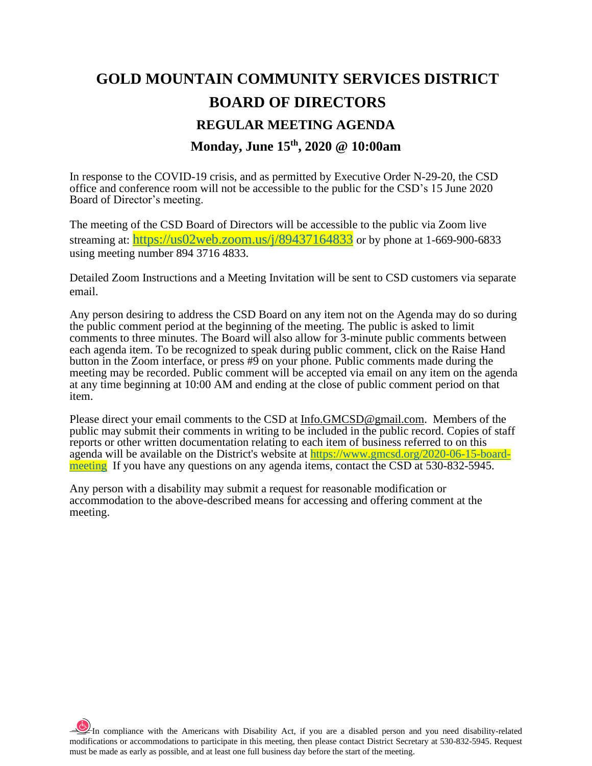# **GOLD MOUNTAIN COMMUNITY SERVICES DISTRICT BOARD OF DIRECTORS REGULAR MEETING AGENDA Monday, June 15th, 2020 @ 10:00am**

In response to the COVID-19 crisis, and as permitted by Executive Order N-29-20, the CSD office and conference room will not be accessible to the public for the CSD's 15 June 2020 Board of Director's meeting.

The meeting of the CSD Board of Directors will be accessible to the public via Zoom live streaming at: <https://us02web.zoom.us/j/89437164833> or by phone at 1-669-900-6833 using meeting number 894 3716 4833.

Detailed Zoom Instructions and a Meeting Invitation will be sent to CSD customers via separate email.

Any person desiring to address the CSD Board on any item not on the Agenda may do so during the public comment period at the beginning of the meeting. The public is asked to limit comments to three minutes. The Board will also allow for 3-minute public comments between each agenda item. To be recognized to speak during public comment, click on the Raise Hand button in the Zoom interface, or press #9 on your phone. Public comments made during the meeting may be recorded. Public comment will be accepted via email on any item on the agenda at any time beginning at 10:00 AM and ending at the close of public comment period on that item.

Please direct your email comments to the CSD at  $Info.GMCSD@gmail.com$ . Members of the public may submit their comments in writing to be included in the public record. Copies of staff reports or other written documentation relating to each item of business referred to on this agenda will be available on the District's website at [https://www.gmcsd.org/2020-06-15-board](https://www.gmcsd.org/2020-06-15-board-meeting)[meeting](https://www.gmcsd.org/2020-06-15-board-meeting) If you have any questions on any agenda items, contact the CSD at 530-832-5945.

Any person with a disability may submit a request for reasonable modification or accommodation to the above-described means for accessing and offering comment at the meeting.

 $\frac{1}{2}$ In compliance with the Americans with Disability Act, if you are a disabled person and you need disability-related modifications or accommodations to participate in this meeting, then please contact District Secretary at 530-832-5945. Request must be made as early as possible, and at least one full business day before the start of the meeting.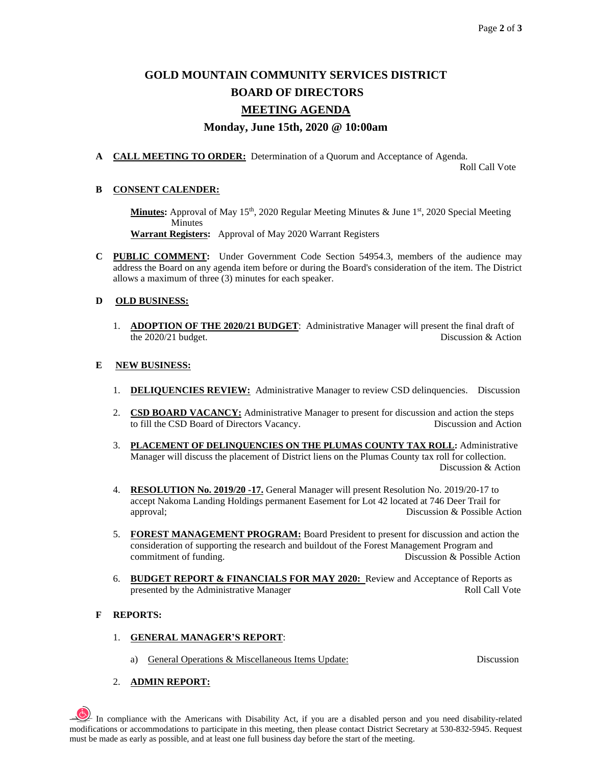## **GOLD MOUNTAIN COMMUNITY SERVICES DISTRICT BOARD OF DIRECTORS**

### **MEETING AGENDA**

#### **Monday, June 15th, 2020 @ 10:00am**

#### **A CALL MEETING TO ORDER:** Determination of a Quorum and Acceptance of Agenda.

Roll Call Vote

#### **B CONSENT CALENDER:**

**Minutes:** Approval of May 15<sup>th</sup>, 2020 Regular Meeting Minutes & June 1<sup>st</sup>, 2020 Special Meeting **Minutes** 

**Warrant Registers:** Approval of May 2020 Warrant Registers

**C PUBLIC COMMENT:** Under Government Code Section 54954.3, members of the audience may address the Board on any agenda item before or during the Board's consideration of the item. The District allows a maximum of three (3) minutes for each speaker.

#### **D OLD BUSINESS:**

1. **ADOPTION OF THE 2020/21 BUDGET**: Administrative Manager will present the final draft of the 2020/21 budget. Contract the 2020/21 budget.

#### **E NEW BUSINESS:**

- 1. **DELIQUENCIES REVIEW:** Administrative Manager to review CSD delinquencies. Discussion
- 2. **CSD BOARD VACANCY:** Administrative Manager to present for discussion and action the steps to fill the CSD Board of Directors Vacancy. Discussion and Action
- 3. **PLACEMENT OF DELINQUENCIES ON THE PLUMAS COUNTY TAX ROLL:** Administrative Manager will discuss the placement of District liens on the Plumas County tax roll for collection. Discussion & Action
- 4. **RESOLUTION No. 2019/20 -17.** General Manager will present Resolution No. 2019/20-17 to accept Nakoma Landing Holdings permanent Easement for Lot 42 located at 746 Deer Trail for approval; Discussion & Possible Action
- 5. **FOREST MANAGEMENT PROGRAM:** Board President to present for discussion and action the consideration of supporting the research and buildout of the Forest Management Program and commitment of funding. Discussion & Possible Action
- 6. **BUDGET REPORT & FINANCIALS FOR MAY 2020:** Review and Acceptance of Reports as presented by the Administrative Manager Roll Call Vote

#### **F REPORTS:**

- 1. **GENERAL MANAGER'S REPORT**:
	- a) General Operations & Miscellaneous Items Update: Discussion

2. **ADMIN REPORT:**

In compliance with the Americans with Disability Act, if you are a disabled person and you need disability-related modifications or accommodations to participate in this meeting, then please contact District Secretary at 530-832-5945. Request must be made as early as possible, and at least one full business day before the start of the meeting.